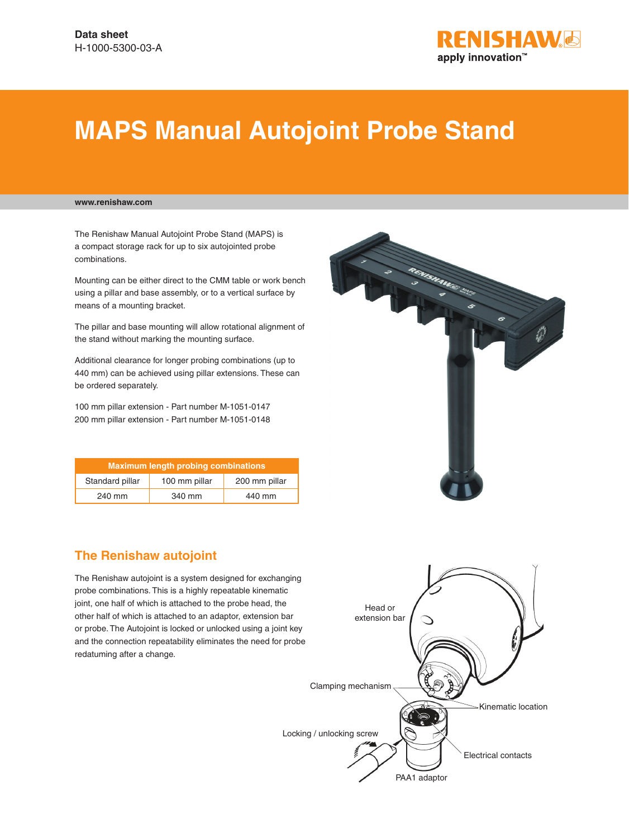

# **MAPS Manual Autojoint Probe Stand**

### **www.renishaw.com**

The Renishaw Manual Autojoint Probe Stand (MAPS) is a compact storage rack for up to six autojointed probe combinations.

Mounting can be either direct to the CMM table or work bench using a pillar and base assembly, or to a vertical surface by means of a mounting bracket.

The pillar and base mounting will allow rotational alignment of the stand without marking the mounting surface.

Additional clearance for longer probing combinations (up to 440 mm) can be achieved using pillar extensions. These can be ordered separately.

100 mm pillar extension - Part number M-1051-0147 200 mm pillar extension - Part number M-1051-0148

| <b>Maximum length probing combinations</b> |               |               |
|--------------------------------------------|---------------|---------------|
| Standard pillar                            | 100 mm pillar | 200 mm pillar |
| 240 mm                                     | 340 mm        | 440 mm        |



## **The Renishaw autojoint**

The Renishaw autojoint is a system designed for exchanging probe combinations. This is a highly repeatable kinematic joint, one half of which is attached to the probe head, the other half of which is attached to an adaptor, extension bar or probe. The Autojoint is locked or unlocked using a joint key and the connection repeatability eliminates the need for probe redatuming after a change.